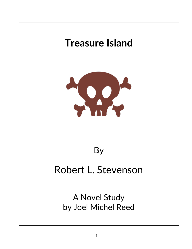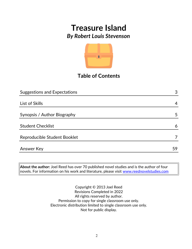

## **Table of Contents**

| <b>Suggestions and Expectations</b> | 3  |
|-------------------------------------|----|
|                                     |    |
| List of Skills                      | 4  |
|                                     |    |
| Synopsis / Author Biography         | 5  |
|                                     |    |
| <b>Student Checklist</b>            | 6  |
| Reproducible Student Booklet        |    |
|                                     |    |
| <b>Answer Key</b>                   | 59 |

**About the author:** Joel Reed has over 70 published novel studies and is the author of four  $|$ novels. For information on his work and literature, please visit [www.reednovelstudies.com](http://www.reednovelstudies.com/)

> Copyright © 2013 Joel Reed Revisions Completed in 2022 All rights reserved by author. Permission to copy for single classroom use only. Electronic distribution limited to single classroom use only. Not for public display.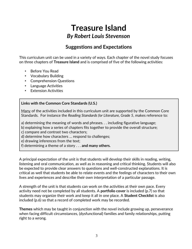## **Suggestions and Expectations**

This curriculum unit can be used in a variety of ways. Each chapter of the novel study focuses on three chapters of **Treasure Island** and is comprised of five of the following activities:

- Before You Read
- Vocabulary Building
- Comprehension Questions
- Language Activities
- **Extension Activities**

#### **Links with the Common Core Standards (U.S.)**

Many of the activities included in this curriculum unit are supported by the Common Core Standards. For instance the *Reading Standards for Literature, Grade 5*, makes reference to:

a) determining the meaning of words and phrases. . . including figurative language;

b) explaining how a series of chapters fits together to provide the overall structure;

c) compare and contrast two characters;

d) determine how characters … respond to challenges;

e) drawing inferences from the text;

f) determining a theme of a story . . . **and many others.**

A principal expectation of the unit is that students will develop their skills in reading, writing, listening and oral communication, as well as in reasoning and critical thinking. Students will also be expected to provide clear answers to questions and well-constructed explanations. It is critical as well that students be able to relate events and the feelings of characters to their own lives and experiences and describe their own interpretation of a particular passage.

A strength of the unit is that students can work on the activities at their own pace. Every activity need not be completed by all students. A **portfolio cover** is included (p.7) so that students may organize their work and keep it all in one place. A **Student Checklist** is also included (p.6) so that a record of completed work may be recorded.

**Themes** which may be taught in conjunction with the novel include growing up, perseverance when facing difficult circumstances, (dysfunctional) families and family relationships, putting right to a wrong.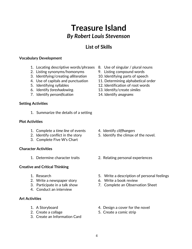## **List of Skills**

#### **Vocabulary Development**

- 1. Locating descriptive words/phrases 8. Use of singular / plural nouns
- 2. Listing synonyms/homonyms 9. Listing compound words
- 3. Identifying/creating *alliteration* 10. Identifying parts of speech
- 4. Use of capitals and punctuation 11. Determining alphabetical order
- 
- 6. Identify *foreshadowing*. 13. Identify/create *similes*
- 7. Identify *personification* 14. Identify *anagrams*

#### **Setting Activities**

1. Summarize the details of a setting

#### **Plot Activities**

- 1. Complete a *time line* of events 4. Identify *cliffhangers*
- 
- 3. Complete Five W's Chart

#### **Character Activities**

#### **Creative and Critical Thinking**

- 
- 2. Write a newspaper story 6. Write a book review
- 
- 4. Conduct an interview

#### **Art Activities**

- 
- 
- 3. Create an Information Card
- 
- 
- 
- 
- 5. Identifying syllables 12. Identification of root words
	-
	-

- 
- 2. Identify conflict in the story 5. Identify the climax of the novel.
- 1. Determine character traits 2. Relating personal experiences
- 1. Research 5. Write a description of personal feelings
	-
- 3. Participate in a talk show 7. Complete an Observation Sheet
- 1. A Storyboard **1.** A Storyboard **1.** A Storyboard
- 2. Create a collage 5. Create a comic strip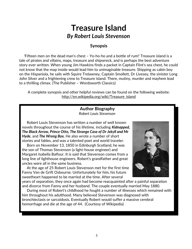#### **Synopsis**

 'Fifteen men on the dead man's chest – Yo-ho-ho and a bottle of rum!' Treasure island is a tale of pirates and villains, maps, treasure and shipwreck, and is perhaps the best adventure story ever written. When young Jim Hawkins finds a packet in Captain Flint's sea chest, he could not know that the map inside would lead him to unimaginable treasure. Shipping as cabin boy on the Hispaniola, he sails with Squire Trelawney, Captain Smollett, Dr Livesey, the sinister Long John Silver and a frightening crew to Treasure island. There, mutiny, murder and mayhem lead to a thrilling climax. (The Publisher – Wordsworth Classics)

A complete synopsis and other helpful reviews can be found on the following website: http://en.wikipedia.org/wiki/Treasure\_island

> **Author Biography** *Robert Louis Stevenson*

 Robert Louis Stevenson has written a number of well known novels throughout the course of his lifetime, including *Kidnapped, The Black Arrow, Prince Otto, The Strange Case of Dr Jekyll and Mr Hyde*, and *The Wrong Box.* He also wrote a number of short stories and fables, and was a talented poet and world traveler.

 Born on November 13, 1850 in Edinburgh Scotland, he was the son of Thomas Stevenson (a light-house engineer) and Margaret Isabella Balfour. It is said that Stevenson comes from a long line of lighthouse engineers. Robert's grandfather and great uncles were all in the same business.

 At the age of 25 Robert Louis Stevenson met for the first time Fanny Van de Grift Osbourne. Unfortunately for him, his future sweetheart happened to be married at the time. After several



years of separation, they once again had become reacquainted after a painful separation and divorce from Fanny and her husband. The couple eventually married May 1880.

 During most of Robert's childhood he fought a number of illnesses which remained with him throughout his adulthood. Many believed Stevenson was diagnosed with bronchiectasis or sarcoidosis. Eventually Robert would suffer a massive cerebral hemorrhage and die at the age of 44. (Courtesy of Wikipedia)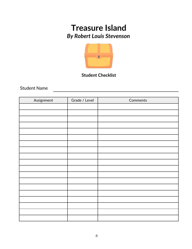

### **Student Checklist**

Student Name

| Assignment | Grade / Level | Comments |
|------------|---------------|----------|
|            |               |          |
|            |               |          |
|            |               |          |
|            |               |          |
|            |               |          |
|            |               |          |
|            |               |          |
|            |               |          |
|            |               |          |
|            |               |          |
|            |               |          |
|            |               |          |
|            |               |          |
|            |               |          |
|            |               |          |
|            |               |          |
|            |               |          |
|            |               |          |
|            |               |          |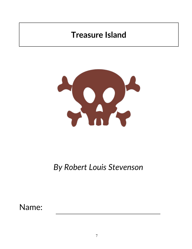# **Treasure Island**



# *By Robert Louis Stevenson*

Name: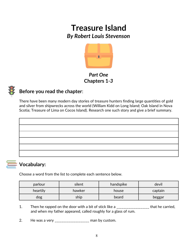

## *Part One* **Chapters 1***-3*



## **Before you read the chapter**:

There have been many modern day stories of treasure hunters finding large quantities of gold and silver from shipwrecks across the world (William Kidd on Long Island; Oak Island in Nova Scotia; Treasure of Lima on Cocos Island). Research one such story and give a brief summary.



## **Vocabulary:**

Choose a word from the list to complete each sentence below.

| parlour  | silent | handspike | devil   |
|----------|--------|-----------|---------|
| heartily | hawker | house     | captain |
| dog      | ship   | beard     | beggar  |

- 1. Then he rapped on the door with a bit of stick like a \_\_\_\_\_\_\_\_\_\_\_\_\_\_\_\_\_\_\_\_\_ that he carried, and when my father appeared, called roughly for a glass of rum.
- 2. He was a very \_\_\_\_\_\_\_\_\_\_\_\_\_\_\_\_\_\_\_ man by custom.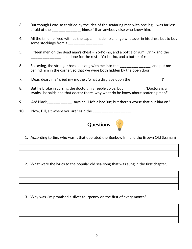- 3. But though I was so terrified by the idea of the seafaring man with one leg, I was far less afraid of the **Example 20** himself than anybody else who knew him.
- 4. All the time he lived with us the captain made no change whatever in his dress but to buy some stockings from a \_\_\_\_\_\_\_\_\_\_\_\_\_\_\_\_\_\_\_.
- 5. Fifteen men on the dead man's chest Yo-ho-ho, and a bottle of rum! Drink and the \_\_\_\_\_\_\_\_\_\_\_\_\_\_\_\_\_\_ had done for the rest – Yo-ho-ho, and a bottle of rum!
- 6. So saying, the stranger backed along with me into the \_\_\_\_\_\_\_\_\_\_\_\_\_\_\_\_\_, and put me behind him in the corner, so that we were both hidden by the open door.
- 7. 'Dear, deary me,' cried my mother, 'what a disgrace upon the \_\_\_\_\_\_\_\_\_\_\_\_\_\_\_\_\_\_!'
- 8. But he broke in cursing the doctor, in a feeble voice, but \_\_\_\_\_\_\_\_\_\_\_. 'Doctors is all swabs,' he said; 'and that doctor there, why what do he know about seafaring men?'
- 9. 'Ah! Black\_\_\_\_\_\_\_\_\_\_\_\_\_\_,' says he. 'He's a bad 'un; but there's worse that put him on.'
- 10. 'Now, Bill, sit where you are,' said the \_\_\_\_\_\_\_\_\_\_\_\_\_\_\_\_\_\_\_\_\_.



1. According to Jim, who was it that operated the Benbow Inn and the Brown Old Seaman?

2. What were the lyrics to the popular old sea-song that was sung in the first chapter.

3. Why was Jim promised a silver fourpenny on the first of every month?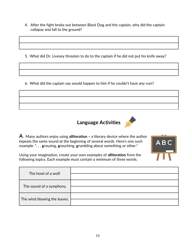- 4. After the fight broke out between Black Dog and the captain, why did the captain collapse and fall to the ground?
- 5. What did Dr. Livesey threaten to do to the captain if he did not put his knife away?
- 6. What did the captain say would happen to him if he couldn't have any rum?





**A**. Many authors enjoy using **alliteration –** a literary device where the author **r**epeats the same sound at the beginning of several words. Here's one such example: ". . . **g**rousing, **g**rouching, **g**rumbling about something or other."



Using your imagination, create your own examples of **alliteration** from the following topics. Each example must contain a minimum of three words.

| The howl of a wolf.          |  |
|------------------------------|--|
| The sound of a symphony.     |  |
| The wind blowing the leaves. |  |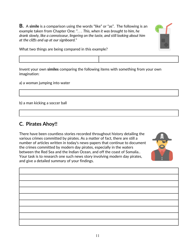**B.** A **simile** is a comparison using the words "like" or "as". The following is an example taken from Chapter One: ". . . *This, when it was brought to him, he drank slowly, like a connoisseur, lingering on the taste, and still looking about him at the cliffs and up at our signboard.*"



What two things are being compared in this example?

Invent your own **similes** comparing the following items with something from your own imagination:

a) a woman jumping into water

b) a man kicking a soccer ball

### **C. Pirates Ahoy!!**

There have been countless stories recorded throughout history detailing the various crimes committed by pirates. As a matter of fact, there are still a number of articles written in today's news-papers that continue to document the crimes committed by modern day pirates, especially in the waters between the Red Sea and the Indian Ocean, and off the coast of Somalia.. Your task is to research one such news story involving modern day pirates, and give a detailed summary of your findings.



| $\mathcal{L}^{\text{max}}_{\text{max}}$ |  |
|-----------------------------------------|--|
|                                         |  |
|                                         |  |
|                                         |  |
|                                         |  |
|                                         |  |
|                                         |  |
|                                         |  |
|                                         |  |
|                                         |  |
|                                         |  |
|                                         |  |
|                                         |  |
|                                         |  |
|                                         |  |
|                                         |  |
|                                         |  |
|                                         |  |
|                                         |  |